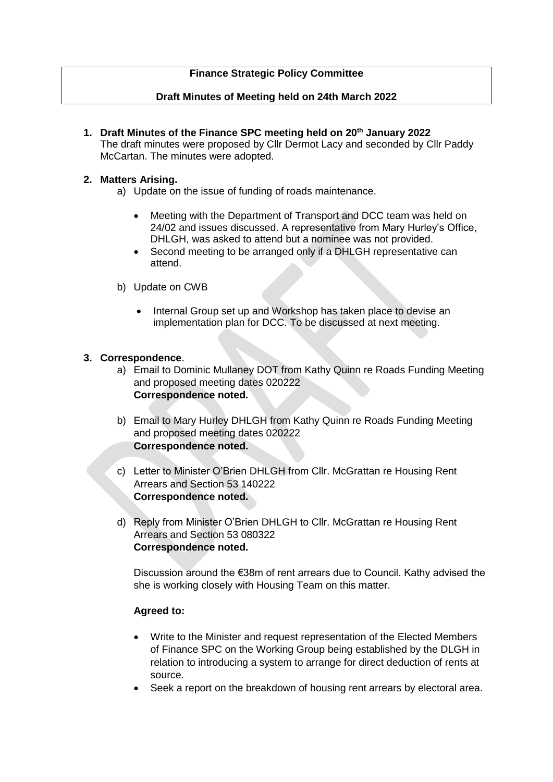## **Finance Strategic Policy Committee**

## **Draft Minutes of Meeting held on 24th March 2022**

**1. Draft Minutes of the Finance SPC meeting held on 20th January 2022** The draft minutes were proposed by Cllr Dermot Lacy and seconded by Cllr Paddy McCartan. The minutes were adopted.

## **2. Matters Arising.**

- a) Update on the issue of funding of roads maintenance.
	- Meeting with the Department of Transport and DCC team was held on 24/02 and issues discussed. A representative from Mary Hurley's Office, DHLGH, was asked to attend but a nominee was not provided.
	- Second meeting to be arranged only if a DHLGH representative can attend.
- b) Update on CWB
	- Internal Group set up and Workshop has taken place to devise an implementation plan for DCC. To be discussed at next meeting.

## **3. Correspondence**.

- a) Email to Dominic Mullaney DOT from Kathy Quinn re Roads Funding Meeting and proposed meeting dates 020222 **Correspondence noted.**
- b) Email to Mary Hurley DHLGH from Kathy Quinn re Roads Funding Meeting and proposed meeting dates 020222 **Correspondence noted.**
- c) Letter to Minister O'Brien DHLGH from Cllr. McGrattan re Housing Rent Arrears and Section 53 140222 **Correspondence noted.**
- d) Reply from Minister O'Brien DHLGH to Cllr. McGrattan re Housing Rent Arrears and Section 53 080322 **Correspondence noted.**

Discussion around the €38m of rent arrears due to Council. Kathy advised the she is working closely with Housing Team on this matter.

## **Agreed to:**

- Write to the Minister and request representation of the Elected Members of Finance SPC on the Working Group being established by the DLGH in relation to introducing a system to arrange for direct deduction of rents at source.
- Seek a report on the breakdown of housing rent arrears by electoral area.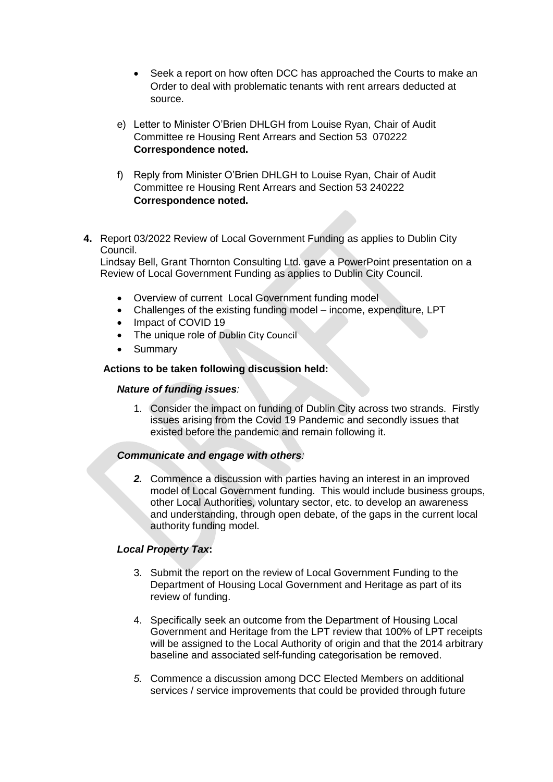- Seek a report on how often DCC has approached the Courts to make an Order to deal with problematic tenants with rent arrears deducted at source.
- e) Letter to Minister O'Brien DHLGH from Louise Ryan, Chair of Audit Committee re Housing Rent Arrears and Section 53 070222 **Correspondence noted.**
- f) Reply from Minister O'Brien DHLGH to Louise Ryan, Chair of Audit Committee re Housing Rent Arrears and Section 53 240222 **Correspondence noted.**
- **4.** Report 03/2022 Review of Local Government Funding as applies to Dublin City Council.

Lindsay Bell, Grant Thornton Consulting Ltd. gave a PowerPoint presentation on a Review of Local Government Funding as applies to Dublin City Council.

- Overview of current Local Government funding model
- Challenges of the existing funding model income, expenditure, LPT
- Impact of COVID 19
- The unique role of Dublin City Council
- Summary

#### **Actions to be taken following discussion held:**

#### *Nature of funding issues:*

1. Consider the impact on funding of Dublin City across two strands. Firstly issues arising from the Covid 19 Pandemic and secondly issues that existed before the pandemic and remain following it.

## *Communicate and engage with others:*

*2.* Commence a discussion with parties having an interest in an improved model of Local Government funding. This would include business groups, other Local Authorities, voluntary sector, etc. to develop an awareness and understanding, through open debate, of the gaps in the current local authority funding model.

## *Local Property Tax***:**

- 3. Submit the report on the review of Local Government Funding to the Department of Housing Local Government and Heritage as part of its review of funding.
- 4. Specifically seek an outcome from the Department of Housing Local Government and Heritage from the LPT review that 100% of LPT receipts will be assigned to the Local Authority of origin and that the 2014 arbitrary baseline and associated self-funding categorisation be removed.
- *5.* Commence a discussion among DCC Elected Members on additional services / service improvements that could be provided through future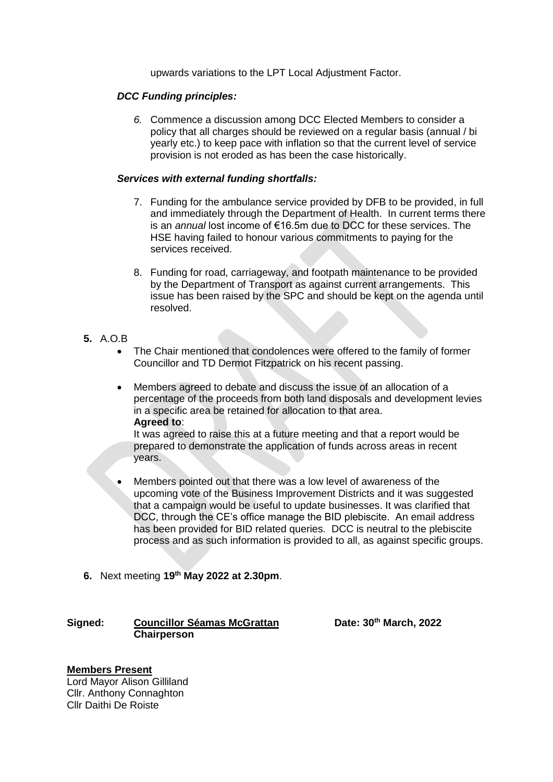upwards variations to the LPT Local Adjustment Factor.

### *DCC Funding principles:*

*6.* Commence a discussion among DCC Elected Members to consider a policy that all charges should be reviewed on a regular basis (annual / bi yearly etc.) to keep pace with inflation so that the current level of service provision is not eroded as has been the case historically.

#### *Services with external funding shortfalls:*

- 7. Funding for the ambulance service provided by DFB to be provided, in full and immediately through the Department of Health. In current terms there is an *annual* lost income of €16.5m due to DCC for these services. The HSE having failed to honour various commitments to paying for the services received.
- 8. Funding for road, carriageway, and footpath maintenance to be provided by the Department of Transport as against current arrangements. This issue has been raised by the SPC and should be kept on the agenda until resolved.

## **5.** A.O.B

- The Chair mentioned that condolences were offered to the family of former Councillor and TD Dermot Fitzpatrick on his recent passing.
- Members agreed to debate and discuss the issue of an allocation of a percentage of the proceeds from both land disposals and development levies in a specific area be retained for allocation to that area. **Agreed to**:

It was agreed to raise this at a future meeting and that a report would be prepared to demonstrate the application of funds across areas in recent years.

- Members pointed out that there was a low level of awareness of the upcoming vote of the Business Improvement Districts and it was suggested that a campaign would be useful to update businesses. It was clarified that DCC, through the CE's office manage the BID plebiscite. An email address has been provided for BID related queries. DCC is neutral to the plebiscite process and as such information is provided to all, as against specific groups.
- **6.** Next meeting **19 th May 2022 at 2.30pm**.

## **Signed: Councillor Séamas McGrattan Date: 30th March, 2022 Chairperson**

## **Members Present**

Lord Mayor Alison Gilliland Cllr. Anthony Connaghton Cllr Daithi De Roiste